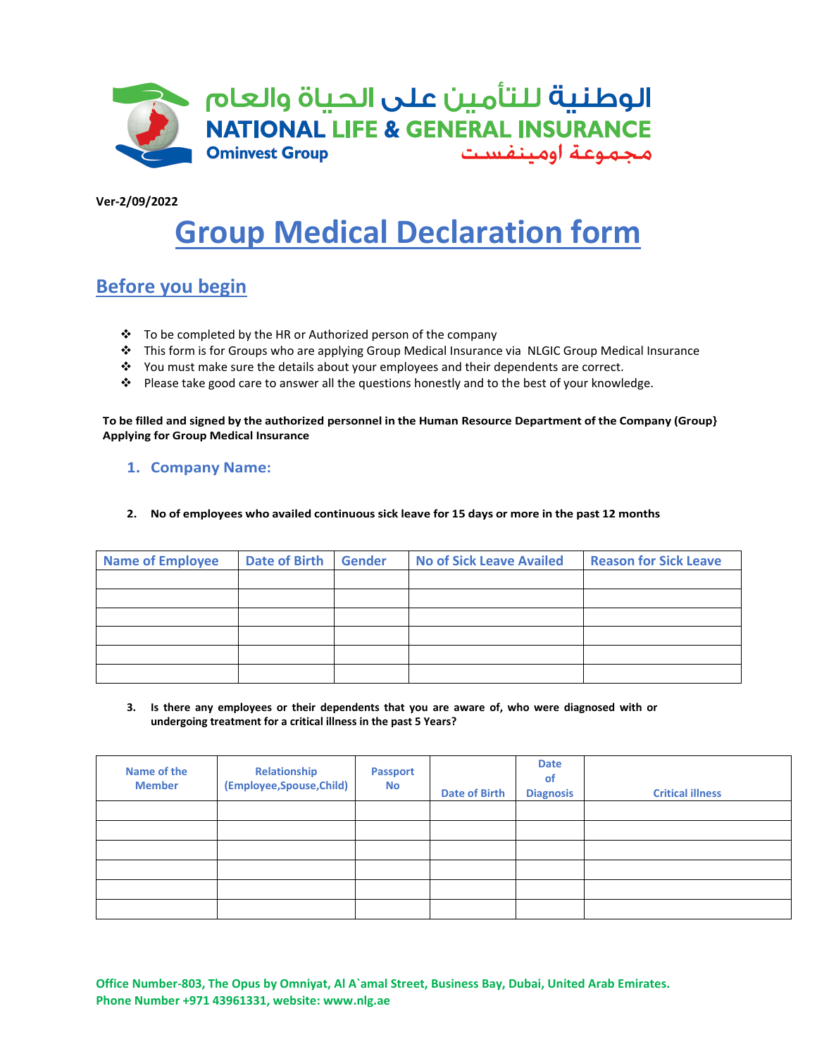

**Ver-2/09/2022**

# **Group Medical Declaration form**

## **Before you begin**

- $\cdot \cdot$  To be completed by the HR or Authorized person of the company
- ❖ This form is for Groups who are applying Group Medical Insurance via NLGIC Group Medical Insurance
- ❖ You must make sure the details about your employees and their dependents are correct.
- ❖ Please take good care to answer all the questions honestly and to the best of your knowledge.

**To be filled and signed by the authorized personnel in the Human Resource Department of the Company (Group} Applying for Group Medical Insurance**

### **1. Company Name:**

**2. No of employees who availed continuous sick leave for 15 days or more in the past 12 months**

| Name of Employee | Date of Birth Gender | <b>No of Sick Leave Availed</b> | <b>Reason for Sick Leave</b> |
|------------------|----------------------|---------------------------------|------------------------------|
|                  |                      |                                 |                              |
|                  |                      |                                 |                              |
|                  |                      |                                 |                              |
|                  |                      |                                 |                              |
|                  |                      |                                 |                              |
|                  |                      |                                 |                              |

**3. Is there any employees or their dependents that you are aware of, who were diagnosed with or undergoing treatment for a critical illness in the past 5 Years?**

| Name of the<br><b>Member</b> | Relationship<br>(Employee,Spouse,Child) | <b>Passport</b><br><b>No</b> | <b>Date of Birth</b> | <b>Date</b><br>of<br><b>Diagnosis</b> | <b>Critical illness</b> |
|------------------------------|-----------------------------------------|------------------------------|----------------------|---------------------------------------|-------------------------|
|                              |                                         |                              |                      |                                       |                         |
|                              |                                         |                              |                      |                                       |                         |
|                              |                                         |                              |                      |                                       |                         |
|                              |                                         |                              |                      |                                       |                         |
|                              |                                         |                              |                      |                                       |                         |
|                              |                                         |                              |                      |                                       |                         |